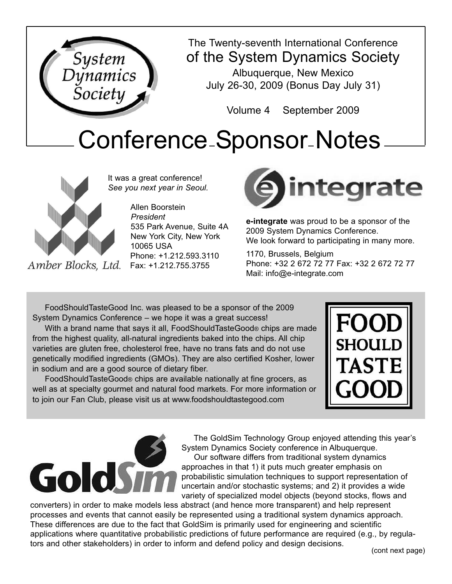



Amber Blocks, Ltd.

It was a great conference! *See you next year in Seoul.*

> Allen Boorstein *President* 535 Park Avenue, Suite 4A New York City, New York 10065 USA Phone: +1.212.593.3110 Fax: +1.212.755.3755



**e-integrate** was proud to be a sponsor of the 2009 System Dynamics Conference. We look forward to participating in many more.

1170, Brussels, Belgium Phone: +32 2 672 72 77 Fax: +32 2 672 72 77 Mail: info@e-integrate.com

FoodShouldTasteGood Inc. was pleased to be a sponsor of the 2009 System Dynamics Conference – we hope it was a great success!

With a brand name that says it all, FoodShouldTasteGood® chips are made from the highest quality, all-natural ingredients baked into the chips. All chip varieties are gluten free, cholesterol free, have no trans fats and do not use genetically modified ingredients (GMOs). They are also certified Kosher, lower in sodium and are a good source of dietary fiber.

FoodShouldTasteGood® chips are available nationally at fine grocers, as well as at specialty gourmet and natural food markets. For more information or to join our Fan Club, please visit us at www.foodshouldtastegood.com





The GoldSim Technology Group enjoyed attending this year's System Dynamics Society conference in Albuquerque. Our software differs from traditional system dynamics approaches in that 1) it puts much greater emphasis on probabilistic simulation techniques to support representation of uncertain and/or stochastic systems; and 2) it provides a wide variety of specialized model objects (beyond stocks, flows and

converters) in order to make models less abstract (and hence more transparent) and help represent processes and events that cannot easily be represented using a traditional system dynamics approach. These differences are due to the fact that GoldSim is primarily used for engineering and scientific applications where quantitative probabilistic predictions of future performance are required (e.g., by regulators and other stakeholders) in order to inform and defend policy and design decisions.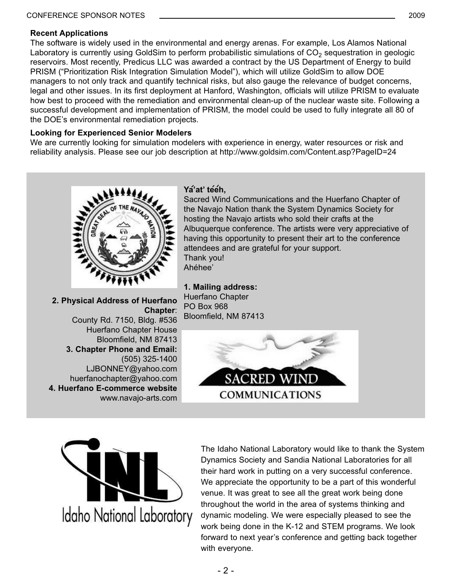## **Recent Applications**

The software is widely used in the environmental and energy arenas. For example, Los Alamos National Laboratory is currently using GoldSim to perform probabilistic simulations of  $CO<sub>2</sub>$  sequestration in geologic reservoirs. Most recently, Predicus LLC was awarded a contract by the US Department of Energy to build PRISM ("Prioritization Risk Integration Simulation Model"), which will utilize GoldSim to allow DOE managers to not only track and quantify technical risks, but also gauge the relevance of budget concerns, legal and other issues. In its first deployment at Hanford, Washington, officials will utilize PRISM to evaluate how best to proceed with the remediation and environmental clean-up of the nuclear waste site. Following a successful development and implementation of PRISM, the model could be used to fully integrate all 80 of the DOE's environmental remediation projects.

## **Looking for Experienced Senior Modelers**

We are currently looking for simulation modelers with experience in energy, water resources or risk and reliability analysis. Please see our job description at http://www.goldsim.com/Content.asp?PageID=24



**2. Physical Address of Huerfano Chapter**: County Rd. 7150, Bldg. #536 Huerfano Chapter House Bloomfield, NM 87413 **3. Chapter Phone and Email:** (505) 325-1400 LJBONNEY@yahoo.com huerfanochapter@yahoo.com **4. Huerfano E-commerce website** www.navajo-arts.com

## **Ya'at' teeh,**

Sacred Wind Communications and the Huerfano Chapter of the Navajo Nation thank the System Dynamics Society for hosting the Navajo artists who sold their crafts at the Albuquerque conference. The artists were very appreciative of having this opportunity to present their art to the conference attendees and are grateful for your support. Thank you! Ahéhee'

**1. Mailing address:** Huerfano Chapter PO Box 968 Bloomfield, NM 87413





The Idaho National Laboratory would like to thank the System Dynamics Society and Sandia National Laboratories for all their hard work in putting on a very successful conference. We appreciate the opportunity to be a part of this wonderful venue. It was great to see all the great work being done throughout the world in the area of systems thinking and dynamic modeling. We were especially pleased to see the work being done in the K-12 and STEM programs. We look forward to next year's conference and getting back together with everyone.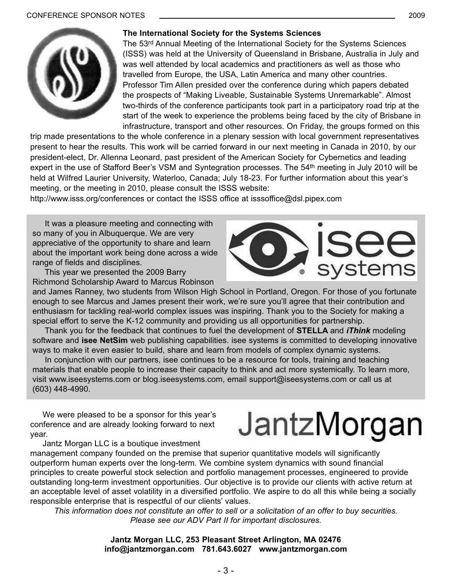

## **The International Society for the Systems Sciences**

The 53<sup>rd</sup> Annual Meeting of the International Society for the Systems Sciences (ISSS) was held at the University of Queensland in Brisbane, Australia in July and was well attended by local academics and practitioners as well as those who travelled from Europe, the USA, Latin America and many other countries. Professor Tim Allen presided over the conference during which papers debated the prospects of "Making Liveable, Sustainable Systems Unremarkable". Almost two-thirds of the conference participants took part in a participatory road trip at the start of the week to experience the problems being faced by the city of Brisbane in infrastructure, transport and other resources. On Friday, the groups formed on this

trip made presentations to the whole conference in a plenary session with local government representatives present to hear the results. This work will be carried forward in our next meeting in Canada in 2010, by our president-elect, Dr. Allenna Leonard, past president of the American Society for Cybernetics and leading expert in the use of Stafford Beer's VSM and Syntegration processes. The 54th meeting in July 2010 will be held at Wilfred Laurier University, Waterloo, Canada; July 18-23. For further information about this year's meeting, or the meeting in 2010, please consult the ISSS website:

http://www.isss.org/conferences or contact the ISSS office at isssoffice@dsl.pipex.com

It was a pleasure meeting and connecting with so many of you in Albuquerque. We are very appreciative of the opportunity to share and learn about the important work being done across a wide range of fields and disciplines.

This year we presented the 2009 Barry Richmond Scholarship Award to Marcus Robinson

and James Ranney, two students from Wilson High School in Portland, Oregon. For those of you fortunate enough to see Marcus and James present their work, we're sure you'll agree that their contribution and enthusiasm for tackling real-world complex issues was inspiring. Thank you to the Society for making a special effort to serve the K-12 community and providing us all opportunities for partnership.

Thank you for the feedback that continues to fuel the development of **STELLA** and *iThink* modeling software and **isee NetSim** web publishing capabilities. isee systems is committed to developing innovative ways to make it even easier to build, share and learn from models of complex dynamic systems.

In conjunction with our partners, isee continues to be a resource for tools, training and teaching materials that enable people to increase their capacity to think and act more systemically. To learn more, visit www.iseesystems.com or blog.iseesystems.com, email support@iseesystems.com or call us at (603) 448-4990.

We were pleased to be a sponsor for this year's conference and are already looking forward to next year.

Jantz Morgan LLC is a boutique investment

JantzMorgan

management company founded on the premise that superior quantitative models will significantly outperform human experts over the long-term. We combine system dynamics with sound financial principles to create powerful stock selection and portfolio management processes, engineered to provide outstanding long-term investment opportunities. Our objective is to provide our clients with active return at an acceptable level of asset volatility in a diversified portfolio. We aspire to do all this while being a socially responsible enterprise that is respectful of our clients' values.

*This information does not constitute an offer to sell or a solicitation of an offer to buy securities. Please see our ADV Part II for important disclosures.*

## **Jantz Morgan LLC, 253 Pleasant Street Arlington, MA 02476 info@jantzmorgan.com 781.643.6027 www.jantzmorgan.com**



systems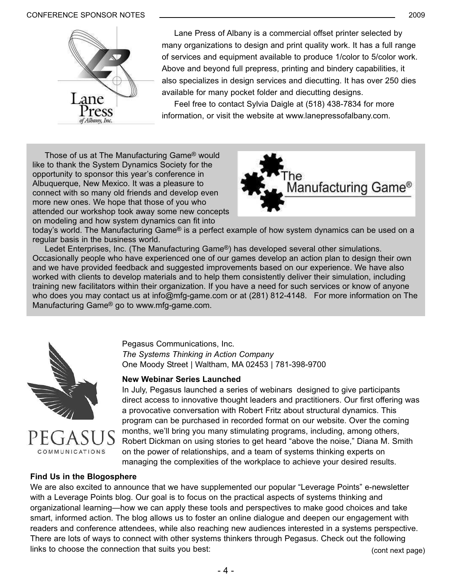#### CONFERENCE SPONSOR NOTES 2009



Lane Press of Albany is a commercial offset printer selected by many organizations to design and print quality work. It has a full range of services and equipment available to produce 1/color to 5/color work. Above and beyond full prepress, printing and bindery capabilities, it also specializes in design services and diecutting. It has over 250 dies available for many pocket folder and diecutting designs.

Feel free to contact Sylvia Daigle at (518) 438-7834 for more information, or visit the website at www.lanepressofalbany.com.

Those of us at The Manufacturing Game® would like to thank the System Dynamics Society for the opportunity to sponsor this year's conference in Albuquerque, New Mexico. It was a pleasure to connect with so many old friends and develop even more new ones. We hope that those of you who attended our workshop took away some new concepts on modeling and how system dynamics can fit into



today's world. The Manufacturing Game® is a perfect example of how system dynamics can be used on a regular basis in the business world.

Ledet Enterprises, Inc. (The Manufacturing Game®) has developed several other simulations. Occasionally people who have experienced one of our games develop an action plan to design their own and we have provided feedback and suggested improvements based on our experience. We have also worked with clients to develop materials and to help them consistently deliver their simulation, including training new facilitators within their organization. If you have a need for such services or know of anyone who does you may contact us at info@mfg-game.com or at (281) 812-4148. For more information on The Manufacturing Game® go to www.mfg-game.com.





**Find Us in the Blogosphere**

## Pegasus Communications, Inc. *The Systems Thinking in Action Company* One Moody Street | Waltham, MA 02453 | 781-398-9700

## **New Webinar Series Launched**

In July, Pegasus launched a series of webinars designed to give participants direct access to innovative thought leaders and practitioners. Our first offering was a provocative conversation with Robert Fritz about structural dynamics. This program can be purchased in recorded format on our website. Over the coming months, we'll bring you many stimulating programs, including, among others, Robert Dickman on using stories to get heard "above the noise," Diana M. Smith on the power of relationships, and a team of systems thinking experts on managing the complexities of the workplace to achieve your desired results.

We are also excited to announce that we have supplemented our popular "Leverage Points" e-newsletter with a Leverage Points blog. Our goal is to focus on the practical aspects of systems thinking and organizational learning—how we can apply these tools and perspectives to make good choices and take smart, informed action. The blog allows us to foster an online dialogue and deepen our engagement with readers and conference attendees, while also reaching new audiences interested in a systems perspective. There are lots of ways to connect with other systems thinkers through Pegasus. Check out the following links to choose the connection that suits you best: (cont next page)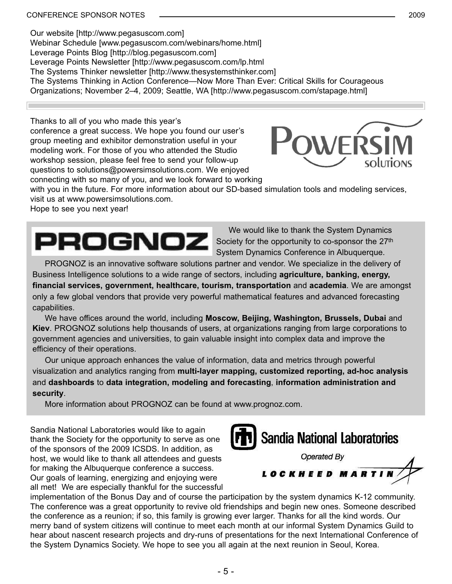Our website [http://www.pegasuscom.com] Webinar Schedule [www.pegasuscom.com/webinars/home.html] Leverage Points Blog [http://blog.pegasuscom.com] Leverage Points Newsletter [http://www.pegasuscom.com/lp.html The Systems Thinker newsletter [http://www.thesystemsthinker.com] The Systems Thinking in Action Conference—Now More Than Ever: Critical Skills for Courageous Organizations; November 2–4, 2009; Seattle, WA [http://www.pegasuscom.com/stapage.html]

Thanks to all of you who made this year's conference a great success. We hope you found our user's group meeting and exhibitor demonstration useful in your modeling work. For those of you who attended the Studio workshop session, please feel free to send your follow-up questions to solutions@powersimsolutions.com. We enjoyed connecting with so many of you, and we look forward to working



with you in the future. For more information about our SD-based simulation tools and modeling services, visit us at www.powersimsolutions.com.

Hope to see you next year!



We would like to thank the System Dynamics Society for the opportunity to co-sponsor the 27<sup>th</sup> System Dynamics Conference in Albuquerque.

PROGNOZ is an innovative software solutions partner and vendor. We specialize in the delivery of Business Intelligence solutions to a wide range of sectors, including **agriculture, banking, energy, financial services, government, healthcare, tourism, transportation** and **academia**. We are amongst only a few global vendors that provide very powerful mathematical features and advanced forecasting capabilities.

We have offices around the world, including **Moscow, Beijing, Washington, Brussels, Dubai** and **Kiev**. PROGNOZ solutions help thousands of users, at organizations ranging from large corporations to government agencies and universities, to gain valuable insight into complex data and improve the efficiency of their operations.

Our unique approach enhances the value of information, data and metrics through powerful visualization and analytics ranging from **multi-layer mapping, customized reporting, ad-hoc analysis** and **dashboards** to **data integration, modeling and forecasting**, **information administration and security**.

More information about PROGNOZ can be found at www.prognoz.com.

Sandia National Laboratories would like to again thank the Society for the opportunity to serve as one of the sponsors of the 2009 ICSDS. In addition, as host, we would like to thank all attendees and guests for making the Albuquerque conference a success. Our goals of learning, energizing and enjoying were all met! We are especially thankful for the successful





implementation of the Bonus Day and of course the participation by the system dynamics K-12 community. The conference was a great opportunity to revive old friendships and begin new ones. Someone described the conference as a reunion; if so, this family is growing ever larger. Thanks for all the kind words. Our merry band of system citizens will continue to meet each month at our informal System Dynamics Guild to hear about nascent research projects and dry-runs of presentations for the next International Conference of the System Dynamics Society. We hope to see you all again at the next reunion in Seoul, Korea.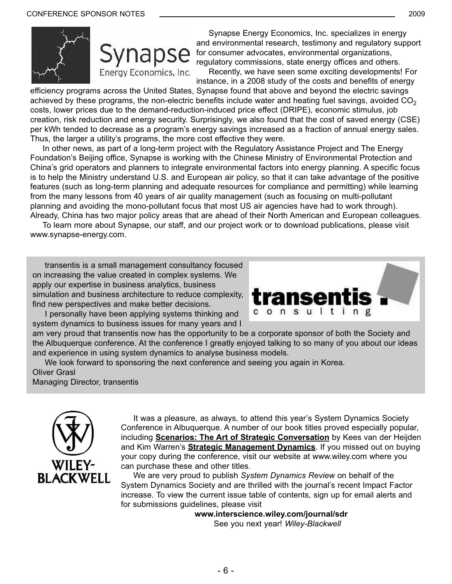



Synapse Energy Economics, Inc. specializes in energy and environmental research, testimony and regulatory support for consumer advocates, environmental organizations, regulatory commissions, state energy offices and others. Recently, we have seen some exciting developments! For instance, in a 2008 study of the costs and benefits of energy

efficiency programs across the United States, Synapse found that above and beyond the electric savings achieved by these programs, the non-electric benefits include water and heating fuel savings, avoided  $CO<sub>2</sub>$ costs, lower prices due to the demand-reduction-induced price effect (DRIPE), economic stimulus, job creation, risk reduction and energy security. Surprisingly, we also found that the cost of saved energy (CSE) per kWh tended to decrease as a program's energy savings increased as a fraction of annual energy sales. Thus, the larger a utility's programs, the more cost effective they were.

In other news, as part of a long-term project with the Regulatory Assistance Project and The Energy Foundation's Beijing office, Synapse is working with the Chinese Ministry of Environmental Protection and China's grid operators and planners to integrate environmental factors into energy planning. A specific focus is to help the Ministry understand U.S. and European air policy, so that it can take advantage of the positive features (such as long-term planning and adequate resources for compliance and permitting) while learning from the many lessons from 40 years of air quality management (such as focusing on multi-pollutant planning and avoiding the mono-pollutant focus that most US air agencies have had to work through). Already, China has two major policy areas that are ahead of their North American and European colleagues.

To learn more about Synapse, our staff, and our project work or to download publications, please visit www.synapse-energy.com.

transentis is a small management consultancy focused on increasing the value created in complex systems. We apply our expertise in business analytics, business simulation and business architecture to reduce complexity, find new perspectives and make better decisions.

I personally have been applying systems thinking and system dynamics to business issues for many years and I



am very proud that transentis now has the opportunity to be a corporate sponsor of both the Society and the Albuquerque conference. At the conference I greatly enjoyed talking to so many of you about our ideas and experience in using system dynamics to analyse business models.

We look forward to sponsoring the next conference and seeing you again in Korea. Oliver Grasl

Managing Director, transentis



It was a pleasure, as always, to attend this year's System Dynamics Society Conference in Albuquerque. A number of our book titles proved especially popular, including **Scenarios: The Art of Strategic Conversation** by Kees van der Heijden and Kim Warren's **Strategic Management Dynamics**. If you missed out on buying your copy during the conference, visit our website at www.wiley.com where you can purchase these and other titles.

We are very proud to publish *System Dynamics Review* on behalf of the System Dynamics Society and are thrilled with the journal's recent Impact Factor increase. To view the current issue table of contents, sign up for email alerts and for submissions guidelines, please visit

> **www.interscience.wiley.com/journal/sdr** See you next year! *Wiley-Blackwell*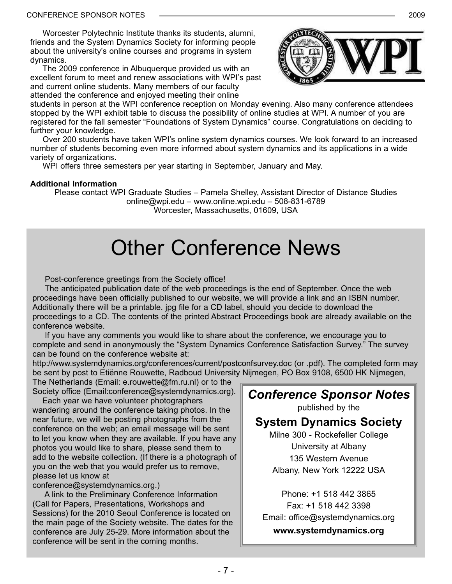Worcester Polytechnic Institute thanks its students, alumni, friends and the System Dynamics Society for informing people about the university's online courses and programs in system dynamics.

The 2009 conference in Albuquerque provided us with an excellent forum to meet and renew associations with WPI's past and current online students. Many members of our faculty attended the conference and enjoyed meeting their online



students in person at the WPI conference reception on Monday evening. Also many conference attendees stopped by the WPI exhibit table to discuss the possibility of online studies at WPI. A number of you are registered for the fall semester "Foundations of System Dynamics" course. Congratulations on deciding to further your knowledge.

Over 200 students have taken WPI's online system dynamics courses. We look forward to an increased number of students becoming even more informed about system dynamics and its applications in a wide variety of organizations.

WPI offers three semesters per year starting in September, January and May.

## **Additional Information**

Please contact WPI Graduate Studies – Pamela Shelley, Assistant Director of Distance Studies online@wpi.edu – www.online.wpi.edu – 508-831-6789 Worcester, Massachusetts, 01609, USA

## Other Conference News

Post-conference greetings from the Society office!

The anticipated publication date of the web proceedings is the end of September. Once the web proceedings have been officially published to our website, we will provide a link and an ISBN number. Additionally there will be a printable. jpg file for a CD label, should you decide to download the proceedings to a CD. The contents of the printed Abstract Proceedings book are already available on the conference website.

If you have any comments you would like to share about the conference, we encourage you to complete and send in anonymously the "System Dynamics Conference Satisfaction Survey." The survey can be found on the conference website at:

http://www.systemdynamics.org/conferences/current/postconfsurvey.doc (or .pdf). The completed form may be sent by post to Etiënne Rouwette, Radboud University Nijmegen, PO Box 9108, 6500 HK Nijmegen,

The Netherlands (Email: e.rouwette@fm.ru.nl) or to the Society office (Email:conference@systemdynamics.org).

Each year we have volunteer photographers wandering around the conference taking photos. In the near future, we will be posting photographs from the conference on the web; an email message will be sent to let you know when they are available. If you have any photos you would like to share, please send them to add to the website collection. (If there is a photograph of you on the web that you would prefer us to remove, please let us know at

conference@systemdynamics.org.)

A link to the Preliminary Conference Information (Call for Papers, Presentations, Workshops and Sessions) for the 2010 Seoul Conference is located on the main page of the Society website. The dates for the conference are July 25-29. More information about the conference will be sent in the coming months.

*Conference Sponsor Notes* published by the **System Dynamics Society** Milne 300 - Rockefeller College University at Albany

135 Western Avenue Albany, New York 12222 USA

Phone: +1 518 442 3865 Fax: +1 518 442 3398 Email: office@systemdynamics.org

**www.systemdynamics.org**